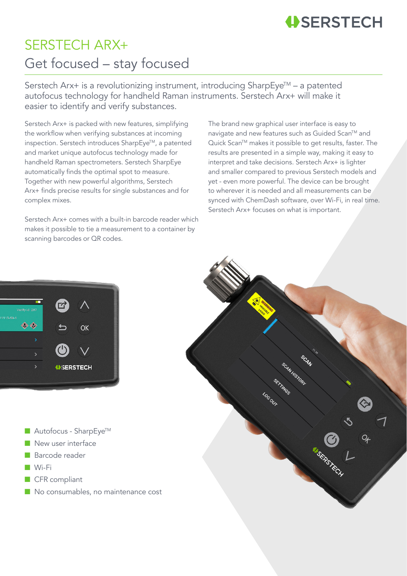## **USERSTECH**

## SERSTECH ARX+ Get focused – stay focused

Serstech Arx+ is a revolutionizing instrument, introducing SharpEye™ – a patented autofocus technology for handheld Raman instruments. Serstech Arx+ will make it easier to identify and verify substances.

Serstech Arx+ is packed with new features, simplifying the workflow when verifying substances at incoming inspection. Serstech introduces SharpEye™, a patented and market unique autofocus technology made for handheld Raman spectrometers. Serstech SharpEye automatically finds the optimal spot to measure. Together with new powerful algorithms, Serstech Arx+ finds precise results for single substances and for complex mixes.

Serstech Arx+ comes with a built-in barcode reader which makes it possible to tie a measurement to a container by scanning barcodes or QR codes.

The brand new graphical user interface is easy to navigate and new features such as Guided Scan™ and Quick Scan™ makes it possible to get results, faster. The results are presented in a simple way, making it easy to interpret and take decisions. Serstech Arx+ is lighter and smaller compared to previous Serstech models and yet - even more powerful. The device can be brought to wherever it is needed and all measurements can be synced with ChemDash software, over Wi-Fi, in real time. Serstech Arx+ focuses on what is important.



- $\blacksquare$  Autofocus SharpEye<sup>TM</sup>
- New user interface
- Barcode reader
- Wi-Fi
- CFR compliant
- No consumables, no maintenance cost